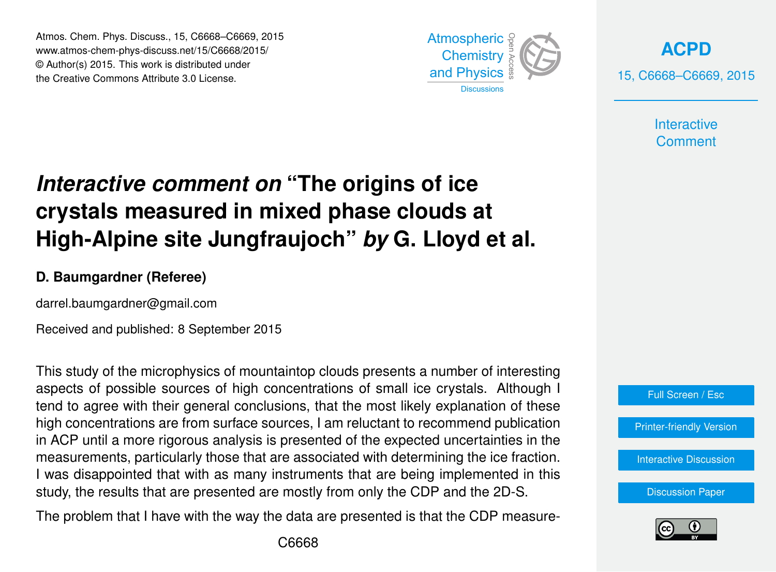Atmos. Chem. Phys. Discuss., 15, C6668–C6669, 2015 www.atmos-chem-phys-discuss.net/15/C6668/2015/ © Author(s) 2015. This work is distributed under the Creative Commons Attribute 3.0 License.



**[ACPD](http://www.atmos-chem-phys-discuss.net)** 15, C6668–C6669, 2015

> **Interactive Comment**

## *Interactive comment on* **"The origins of ice crystals measured in mixed phase clouds at High-Alpine site Jungfraujoch"** *by* **G. Lloyd et al.**

## **D. Baumgardner (Referee)**

darrel.baumgardner@gmail.com

Received and published: 8 September 2015

This study of the microphysics of mountaintop clouds presents a number of interesting aspects of possible sources of high concentrations of small ice crystals. Although I tend to agree with their general conclusions, that the most likely explanation of these high concentrations are from surface sources, I am reluctant to recommend publication in ACP until a more rigorous analysis is presented of the expected uncertainties in the measurements, particularly those that are associated with determining the ice fraction. I was disappointed that with as many instruments that are being implemented in this study, the results that are presented are mostly from only the CDP and the 2D-S.

The problem that I have with the way the data are presented is that the CDP measure-